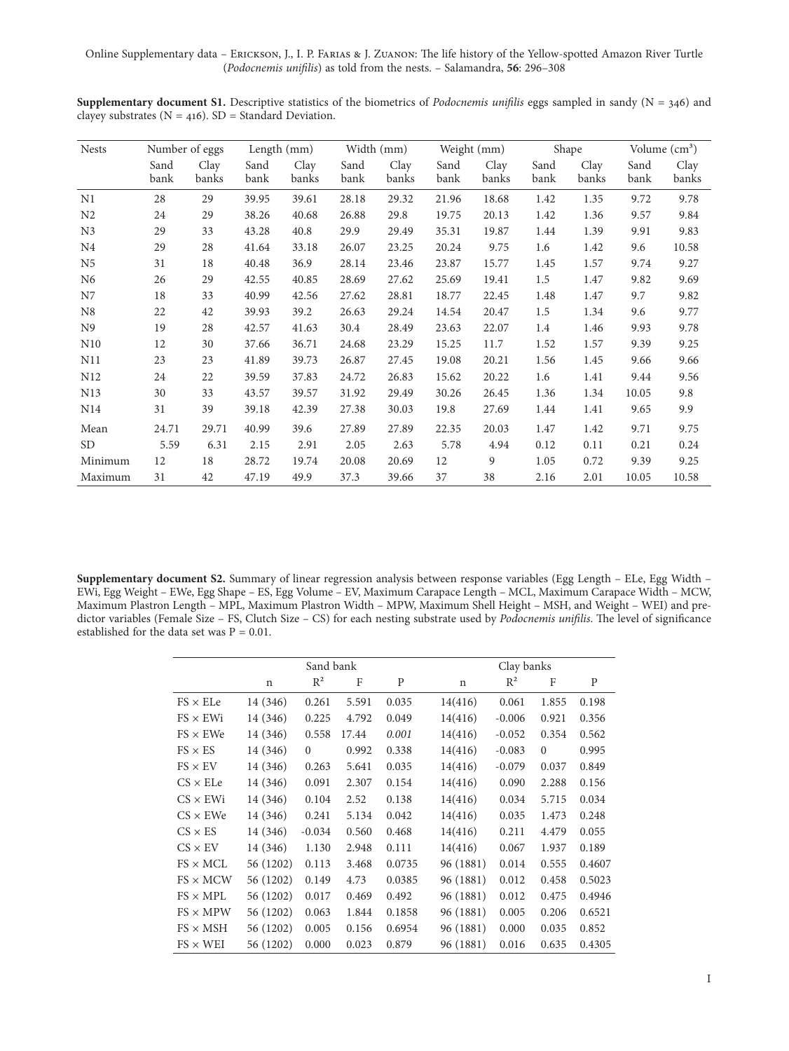Online Supplementary data – Erickson, J., I. P. Farias & J. Zuanon: The life history of the Yellow-spotted Amazon River Turtle (*Podocnemis unifilis*) as told from the nests. – Salamandra, **56**: 296–308

**Supplementary document S1.** Descriptive statistics of the biometrics of *Podocnemis unifilis* eggs sampled in sandy (N = 346) and clayey substrates ( $N = 416$ ). SD = Standard Deviation.

| <b>Nests</b>    | Number of eggs |               | Length (mm)  |               | Width (mm)   |               | Weight (mm)  |               | Shape        |               | Volume $\text{cm}^3$ ) |               |
|-----------------|----------------|---------------|--------------|---------------|--------------|---------------|--------------|---------------|--------------|---------------|------------------------|---------------|
|                 | Sand<br>bank   | Clay<br>banks | Sand<br>bank | Clay<br>banks | Sand<br>bank | Clay<br>banks | Sand<br>bank | Clay<br>banks | Sand<br>bank | Clay<br>banks | Sand<br>bank           | Clay<br>banks |
| N1              | 28             | 29            | 39.95        | 39.61         | 28.18        | 29.32         | 21.96        | 18.68         | 1.42         | 1.35          | 9.72                   | 9.78          |
| N <sub>2</sub>  | 24             | 29            | 38.26        | 40.68         | 26.88        | 29.8          | 19.75        | 20.13         | 1.42         | 1.36          | 9.57                   | 9.84          |
| N <sub>3</sub>  | 29             | 33            | 43.28        | 40.8          | 29.9         | 29.49         | 35.31        | 19.87         | 1.44         | 1.39          | 9.91                   | 9.83          |
| N <sub>4</sub>  | 29             | 28            | 41.64        | 33.18         | 26.07        | 23.25         | 20.24        | 9.75          | 1.6          | 1.42          | 9.6                    | 10.58         |
| N5              | 31             | 18            | 40.48        | 36.9          | 28.14        | 23.46         | 23.87        | 15.77         | 1.45         | 1.57          | 9.74                   | 9.27          |
| N <sub>6</sub>  | 26             | 29            | 42.55        | 40.85         | 28.69        | 27.62         | 25.69        | 19.41         | 1.5          | 1.47          | 9.82                   | 9.69          |
| N7              | 18             | 33            | 40.99        | 42.56         | 27.62        | 28.81         | 18.77        | 22.45         | 1.48         | 1.47          | 9.7                    | 9.82          |
| N8              | 22             | 42            | 39.93        | 39.2          | 26.63        | 29.24         | 14.54        | 20.47         | 1.5          | 1.34          | 9.6                    | 9.77          |
| N <sub>9</sub>  | 19             | 28            | 42.57        | 41.63         | 30.4         | 28.49         | 23.63        | 22.07         | 1.4          | 1.46          | 9.93                   | 9.78          |
| N10             | 12             | 30            | 37.66        | 36.71         | 24.68        | 23.29         | 15.25        | 11.7          | 1.52         | 1.57          | 9.39                   | 9.25          |
| N11             | 23             | 23            | 41.89        | 39.73         | 26.87        | 27.45         | 19.08        | 20.21         | 1.56         | 1.45          | 9.66                   | 9.66          |
| N <sub>12</sub> | 24             | 22            | 39.59        | 37.83         | 24.72        | 26.83         | 15.62        | 20.22         | 1.6          | 1.41          | 9.44                   | 9.56          |
| N <sub>13</sub> | 30             | 33            | 43.57        | 39.57         | 31.92        | 29.49         | 30.26        | 26.45         | 1.36         | 1.34          | 10.05                  | 9.8           |
| N <sub>14</sub> | 31             | 39            | 39.18        | 42.39         | 27.38        | 30.03         | 19.8         | 27.69         | 1.44         | 1.41          | 9.65                   | 9.9           |
| Mean            | 24.71          | 29.71         | 40.99        | 39.6          | 27.89        | 27.89         | 22.35        | 20.03         | 1.47         | 1.42          | 9.71                   | 9.75          |
| SD <sub>1</sub> | 5.59           | 6.31          | 2.15         | 2.91          | 2.05         | 2.63          | 5.78         | 4.94          | 0.12         | 0.11          | 0.21                   | 0.24          |
| Minimum         | 12             | 18            | 28.72        | 19.74         | 20.08        | 20.69         | 12           | 9             | 1.05         | 0.72          | 9.39                   | 9.25          |
| Maximum         | 31             | 42            | 47.19        | 49.9          | 37.3         | 39.66         | 37           | 38            | 2.16         | 2.01          | 10.05                  | 10.58         |

**Supplementary document S2.** Summary of linear regression analysis between response variables (Egg Length – ELe, Egg Width – EWi, Egg Weight – EWe, Egg Shape – ES, Egg Volume – EV, Maximum Carapace Length – MCL, Maximum Carapace Width – MCW, Maximum Plastron Length – MPL, Maximum Plastron Width – MPW, Maximum Shell Height – MSH, and Weight – WEI) and predictor variables (Female Size – FS, Clutch Size – CS) for each nesting substrate used by *Podocnemis unifilis*. The level of significance established for the data set was  $P = 0.01$ .

|                 |           | Sand bank    |       |        | Clay banks |          |              |        |
|-----------------|-----------|--------------|-------|--------|------------|----------|--------------|--------|
|                 | n         | $R^2$        | F     | P      | n          | $R^2$    | F            | P      |
| $FS \times ELe$ | 14 (346)  | 0.261        | 5.591 | 0.035  | 14(416)    | 0.061    | 1.855        | 0.198  |
| $FS \times EWi$ | 14 (346)  | 0.225        | 4.792 | 0.049  | 14(416)    | $-0.006$ | 0.921        | 0.356  |
| $FS \times EWe$ | 14 (346)  | 0.558        | 17.44 | 0.001  | 14(416)    | $-0.052$ | 0.354        | 0.562  |
| $FS \times ES$  | 14 (346)  | $\mathbf{0}$ | 0.992 | 0.338  | 14(416)    | $-0.083$ | $\mathbf{0}$ | 0.995  |
| $FS \times EV$  | 14 (346)  | 0.263        | 5.641 | 0.035  | 14(416)    | $-0.079$ | 0.037        | 0.849  |
| $CS \times ELe$ | 14 (346)  | 0.091        | 2.307 | 0.154  | 14(416)    | 0.090    | 2.288        | 0.156  |
| $CS \times EWi$ | 14 (346)  | 0.104        | 2.52  | 0.138  | 14(416)    | 0.034    | 5.715        | 0.034  |
| $CS \times EWe$ | 14 (346)  | 0.241        | 5.134 | 0.042  | 14(416)    | 0.035    | 1.473        | 0.248  |
| $CS \times ES$  | 14 (346)  | $-0.034$     | 0.560 | 0.468  | 14(416)    | 0.211    | 4.479        | 0.055  |
| $CS \times EV$  | 14 (346)  | 1.130        | 2.948 | 0.111  | 14(416)    | 0.067    | 1.937        | 0.189  |
| $FS \times MCL$ | 56 (1202) | 0.113        | 3.468 | 0.0735 | 96 (1881)  | 0.014    | 0.555        | 0.4607 |
| $FS \times MCW$ | 56 (1202) | 0.149        | 4.73  | 0.0385 | 96 (1881)  | 0.012    | 0.458        | 0.5023 |
| $FS \times MPL$ | 56 (1202) | 0.017        | 0.469 | 0.492  | 96 (1881)  | 0.012    | 0.475        | 0.4946 |
| $FS \times MPW$ | 56 (1202) | 0.063        | 1.844 | 0.1858 | 96 (1881)  | 0.005    | 0.206        | 0.6521 |
| $FS \times MSH$ | 56 (1202) | 0.005        | 0.156 | 0.6954 | 96 (1881)  | 0.000    | 0.035        | 0.852  |
| $FS \times WEI$ | 56 (1202) | 0.000        | 0.023 | 0.879  | 96 (1881)  | 0.016    | 0.635        | 0.4305 |